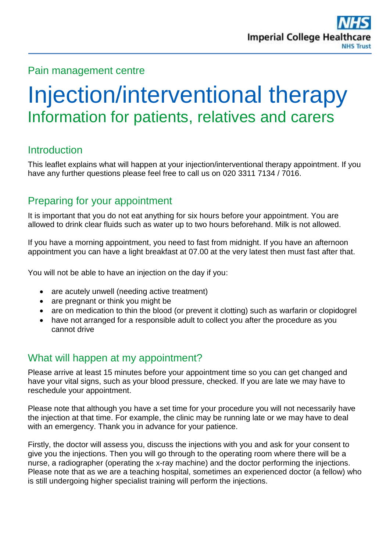#### Pain management centre

# Injection/interventional therapy Information for patients, relatives and carers

# **Introduction**

This leaflet explains what will happen at your injection/interventional therapy appointment. If you have any further questions please feel free to call us on 020 3311 7134 / 7016.

# Preparing for your appointment

It is important that you do not eat anything for six hours before your appointment. You are allowed to drink clear fluids such as water up to two hours beforehand. Milk is not allowed.

If you have a morning appointment, you need to fast from midnight. If you have an afternoon appointment you can have a light breakfast at 07.00 at the very latest then must fast after that.

You will not be able to have an injection on the day if you:

- are acutely unwell (needing active treatment)
- are pregnant or think you might be
- are on medication to thin the blood (or prevent it clotting) such as warfarin or clopidogrel
- have not arranged for a responsible adult to collect you after the procedure as you cannot drive

# What will happen at my appointment?

Please arrive at least 15 minutes before your appointment time so you can get changed and have your vital signs, such as your blood pressure, checked. If you are late we may have to reschedule your appointment.

Please note that although you have a set time for your procedure you will not necessarily have the injection at that time. For example, the clinic may be running late or we may have to deal with an emergency. Thank you in advance for your patience.

Firstly, the doctor will assess you, discuss the injections with you and ask for your consent to give you the injections. Then you will go through to the operating room where there will be a nurse, a radiographer (operating the x-ray machine) and the doctor performing the injections. Please note that as we are a teaching hospital, sometimes an experienced doctor (a fellow) who is still undergoing higher specialist training will perform the injections.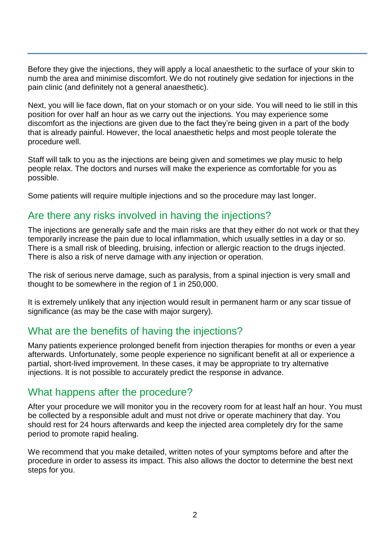Before they give the injections, they will apply a local anaesthetic to the surface of your skin to numb the area and minimise discomfort. We do not routinely give sedation for injections in the pain clinic (and definitely not a general anaesthetic).

Next, you will lie face down, flat on your stomach or on your side. You will need to lie still in this position for over half an hour as we carry out the injections. You may experience some discomfort as the injections are given due to the fact they're being given in a part of the body that is already painful. However, the local anaesthetic helps and most people tolerate the procedure well.

Staff will talk to you as the injections are being given and sometimes we play music to help people relax. The doctors and nurses will make the experience as comfortable for you as possible.

Some patients will require multiple injections and so the procedure may last longer.

### Are there any risks involved in having the injections?

The injections are generally safe and the main risks are that they either do not work or that they temporarily increase the pain due to local inflammation, which usually settles in a day or so. There is a small risk of bleeding, bruising, infection or allergic reaction to the drugs injected. There is also a risk of nerve damage with any injection or operation.

The risk of serious nerve damage, such as paralysis, from a spinal injection is very small and thought to be somewhere in the region of 1 in 250,000.

It is extremely unlikely that any injection would result in permanent harm or any scar tissue of significance (as may be the case with major surgery).

#### What are the benefits of having the injections?

Many patients experience prolonged benefit from injection therapies for months or even a year afterwards. Unfortunately, some people experience no significant benefit at all or experience a partial, short-lived improvement. In these cases, it may be appropriate to try alternative injections. It is not possible to accurately predict the response in advance.

#### What happens after the procedure?

After your procedure we will monitor you in the recovery room for at least half an hour. You must be collected by a responsible adult and must not drive or operate machinery that day. You should rest for 24 hours afterwards and keep the injected area completely dry for the same period to promote rapid healing.

We recommend that you make detailed, written notes of your symptoms before and after the procedure in order to assess its impact. This also allows the doctor to determine the best next steps for you.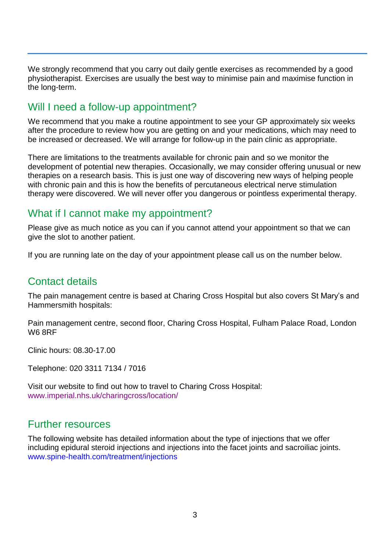We strongly recommend that you carry out daily gentle exercises as recommended by a good physiotherapist. Exercises are usually the best way to minimise pain and maximise function in the long-term.

## Will I need a follow-up appointment?

We recommend that you make a routine appointment to see your GP approximately six weeks after the procedure to review how you are getting on and your medications, which may need to be increased or decreased. We will arrange for follow-up in the pain clinic as appropriate.

There are limitations to the treatments available for chronic pain and so we monitor the development of potential new therapies. Occasionally, we may consider offering unusual or new therapies on a research basis. This is just one way of discovering new ways of helping people with chronic pain and this is how the benefits of percutaneous electrical nerve stimulation therapy were discovered. We will never offer you dangerous or pointless experimental therapy.

# What if I cannot make my appointment?

Please give as much notice as you can if you cannot attend your appointment so that we can give the slot to another patient.

If you are running late on the day of your appointment please call us on the number below.

## Contact details

The pain management centre is based at Charing Cross Hospital but also covers St Mary's and Hammersmith hospitals:

Pain management centre, second floor, Charing Cross Hospital, Fulham Palace Road, London W6 8RF

Clinic hours: 08.30-17.00

Telephone: 020 3311 7134 / 7016

Visit our website to find out how to travel to Charing Cross Hospital: [www.imperial.nhs.uk/charingcross/location/](http://www.imperial.nhs.uk/charingcross/location/)

#### Further resources

The following website has detailed information about the type of injections that we offer including epidural steroid injections and injections into the facet joints and sacroiliac joints. [www.spine-health.com/treatment/injections](http://www.spine-health.com/treatment/injections)